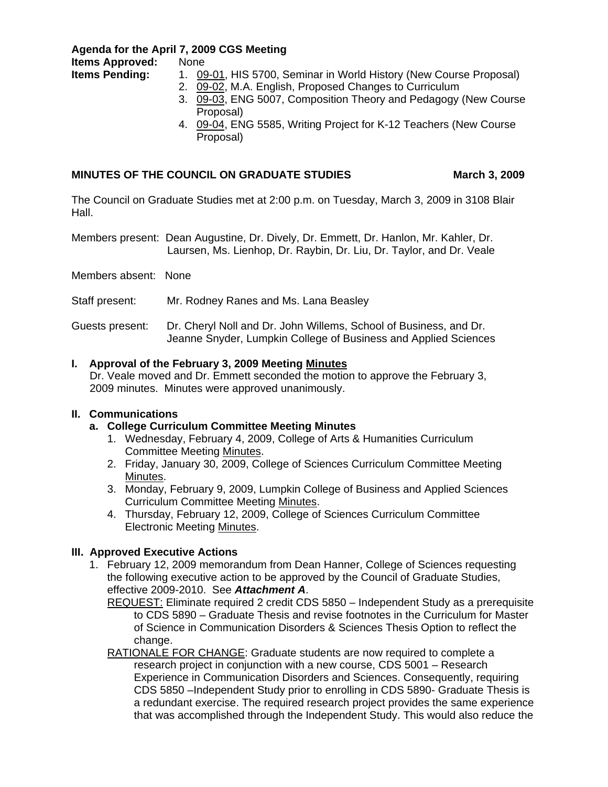**Agenda for the April 7, 2009 CGS Meeting** 

**Items Approved:** None

- **Items Pending:** 1. [09-01,](http://www.eiu.edu/~eiucgs/currentagendaitems/agenda09-01.pdf) HIS 5700, Seminar in World History (New Course Proposal)
	- 2. [09-02,](http://www.eiu.edu/~eiucgs/currentagendaitems/agenda09-02.pdf) M.A. English, Proposed Changes to Curriculum
	- 3. [09-03,](http://www.eiu.edu/~eiucgs/currentagendaitems/agenda09-03.pdf) ENG 5007, Composition Theory and Pedagogy (New Course Proposal)
	- 4. [09-04,](http://www.eiu.edu/~eiucgs/currentagendaitems/agenda09-04.pdf) ENG 5585, Writing Project for K-12 Teachers (New Course Proposal)

# MINUTES OF THE COUNCIL ON GRADUATE STUDIES **March 3, 2009**

The Council on Graduate Studies met at 2:00 p.m. on Tuesday, March 3, 2009 in 3108 Blair Hall.

Members present: Dean Augustine, Dr. Dively, Dr. Emmett, Dr. Hanlon, Mr. Kahler, Dr. Laursen, Ms. Lienhop, Dr. Raybin, Dr. Liu, Dr. Taylor, and Dr. Veale

Members absent: None

Staff present: Mr. Rodney Ranes and Ms. Lana Beasley

Guests present: Dr. Cheryl Noll and Dr. John Willems, School of Business, and Dr. Jeanne Snyder, Lumpkin College of Business and Applied Sciences

# **I. Approval of the February 3, 2009 Meetin[g Minutes](http://www.eiu.edu/~eiucgs/currentminutes/Minutes2-03-09.pdf)**

 Dr. Veale moved and Dr. Emmett seconded the motion to approve the February 3, 2009 minutes. Minutes were approved unanimously.

# **II. Communications**

# **a. College Curriculum Committee Meeting Minutes**

- 1. Wednesday, February 4, 2009, College of Arts & Humanities Curriculum Committee Meetin[g Minutes.](http://www.eiu.edu/~eiucgs/currentagendaitems/CAHMin2-04-09.pdf)
- 2. Friday, January 30, 2009, College of Sciences Curriculum Committee Meeting [Minutes.](http://www.eiu.edu/~eiucgs/currentagendaitems/COSMin1-30-09.pdf)
- 3. Monday, February 9, 2009, Lumpkin College of Business and Applied Sciences Curriculum Committee Meeting [Minutes.](http://www.eiu.edu/~eiucgs/currentagendaitems/LCBASMin2-9-09.pdf)
- 4. Thursday, February 12, 2009, College of Sciences Curriculum Committee Electronic Mee[ting Minutes.](http://www.eiu.edu/~eiucgs/currentagendaitems/COSMin2-12-09.pdf)

# **III. Approved Executive Actions**

 1. February 12, 2009 memorandum from Dean Hanner, College of Sciences requesting the following executive action to be approved by the Council of Graduate Studies, effective 2009-2010. See *Attachment A*.

REQUEST: Eliminate required 2 credit CDS 5850 – Independent Study as a prerequisite to CDS 5890 – Graduate Thesis and revise footnotes in the Curriculum for Master of Science in Communication Disorders & Sciences Thesis Option to reflect the change.

RATIONALE FOR CHANGE: Graduate students are now required to complete a research project in conjunction with a new course, CDS 5001 – Research Experience in Communication Disorders and Sciences. Consequently, requiring CDS 5850 –Independent Study prior to enrolling in CDS 5890- Graduate Thesis is a redundant exercise. The required research project provides the same experience that was accomplished through the Independent Study. This would also reduce the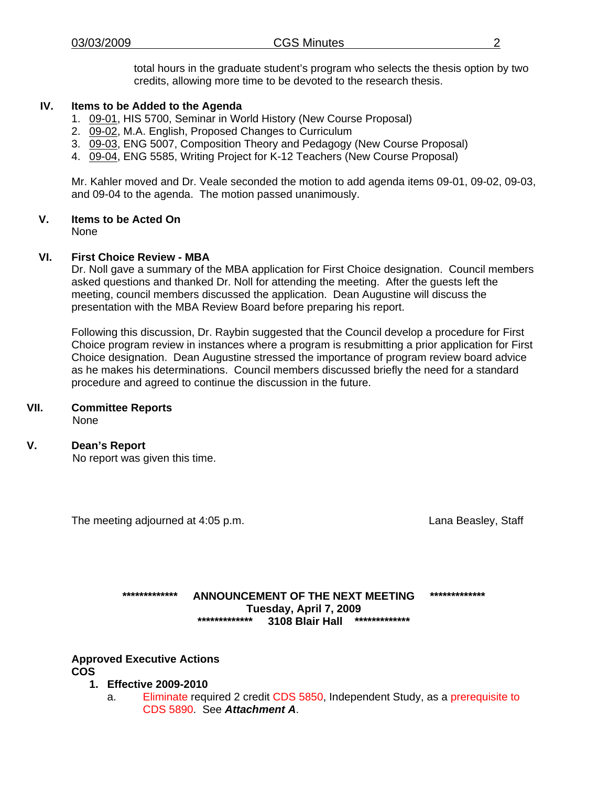total hours in the graduate student's program who selects the thesis option by two credits, allowing more time to be devoted to the research thesis.

# **IV. Items to be Added to the Agenda**

- 1. [09-01,](http://www.eiu.edu/~eiucgs/currentagendaitems/agenda09-01.pdf) HIS 5700, Seminar in World History (New Course Proposal)
- [2. 09-02, M](http://www.eiu.edu/~eiucgs/currentagendaitems/agenda09-02.pdf).A. English, Proposed Changes to Curriculum
- 3. [09-03,](http://www.eiu.edu/~eiucgs/currentagendaitems/agenda09-03.pdf) ENG 5007, Composition Theory and Pedagogy (New Course Proposal)
- 4. [09-04, EN](http://www.eiu.edu/~eiucgs/currentagendaitems/agenda09-04.pdf)G 5585, Writing Project for K-12 Teachers (New Course Proposal)

Mr. Kahler moved and Dr. Veale seconded the motion to add agenda items 09-01, 09-02, 09-03, and 09-04 to the agenda. The motion passed unanimously.

# **V. Items to be Acted On**

None

# **VI. First Choice Review - MBA**

Dr. Noll gave a summary of the MBA application for First Choice designation. Council members asked questions and thanked Dr. Noll for attending the meeting. After the guests left the meeting, council members discussed the application. Dean Augustine will discuss the presentation with the MBA Review Board before preparing his report.

Following this discussion, Dr. Raybin suggested that the Council develop a procedure for First Choice program review in instances where a program is resubmitting a prior application for First Choice designation. Dean Augustine stressed the importance of program review board advice as he makes his determinations. Council members discussed briefly the need for a standard procedure and agreed to continue the discussion in the future.

# **VII. Committee Reports**

None

# **V. Dean's Report**

No report was given this time.

The meeting adjourned at 4:05 p.m. Community Communication and Lana Beasley, Staff

# **\*\*\*\*\*\*\*\*\*\*\*\*\* ANNOUNCEMENT OF THE NEXT MEETING \*\*\*\*\*\*\*\*\*\*\*\*\* Tuesday, April 7, 2009 \*\*\*\*\*\*\*\*\*\*\*\*\* 3108 Blair Hall \*\*\*\*\*\*\*\*\*\*\*\*\***

**Approved Executive Actions COS** 

- **1. Effective 2009-2010** 
	- a. Eliminate required 2 credit CDS 5850, Independent Study, as a prerequisite to CDS 5890. See *Attachment A*.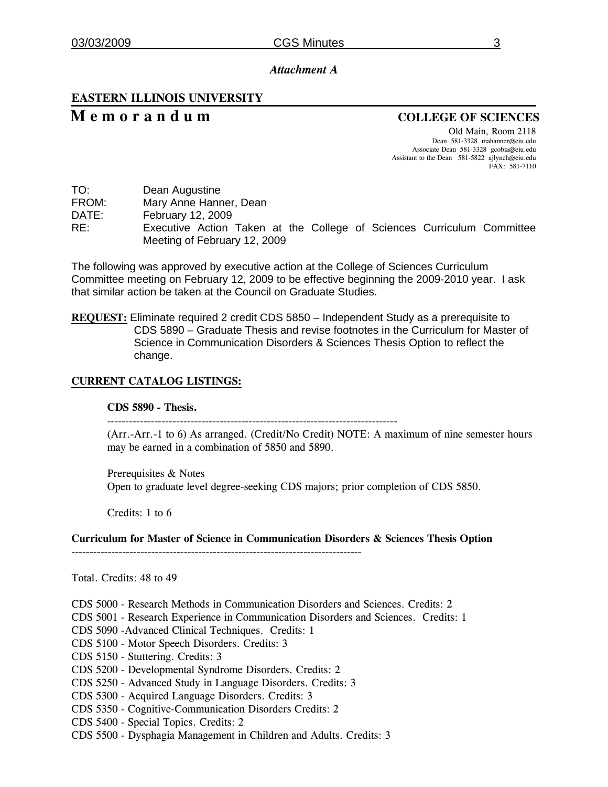### *Attachment A*

# **EASTERN ILLINOIS UNIVERSITY**

# **M e m o r a n d u m COLLEGE OF SCIENCES**

Old Main, Room 2118 Dean 581-3328 mahanner@eiu.edu Associate Dean 581-3328 gcobia@eiu.edu Assistant to the Dean 581-5822 ajlynch@eiu.edu FAX: 581-7110

| TO:<br>Dean Augustine |  |
|-----------------------|--|
|-----------------------|--|

FROM: Mary Anne Hanner, Dean

DATE: February 12, 2009

RE: Executive Action Taken at the College of Sciences Curriculum Committee Meeting of February 12, 2009

The following was approved by executive action at the College of Sciences Curriculum Committee meeting on February 12, 2009 to be effective beginning the 2009-2010 year. I ask that similar action be taken at the Council on Graduate Studies.

**REQUEST:** Eliminate required 2 credit CDS 5850 – Independent Study as a prerequisite to CDS 5890 – Graduate Thesis and revise footnotes in the Curriculum for Master of Science in Communication Disorders & Sciences Thesis Option to reflect the change.

### **CURRENT CATALOG LISTINGS:**

### **CDS 5890 - Thesis.**

--------------------------------------------------------------------------------

(Arr.-Arr.-1 to 6) As arranged. (Credit/No Credit) NOTE: A maximum of nine semester hours may be earned in a combination of 5850 and 5890.

Prerequisites & Notes Open to graduate level degree-seeking CDS majors; prior completion of CDS 5850.

Credits: 1 to 6

**Curriculum for Master of Science in Communication Disorders & Sciences Thesis Option** 

--------------------------------------------------------------------------------

Total. Credits: 48 to 49

CDS 5000 - Research Methods in Communication Disorders and Sciences. Credits: 2

CDS 5001 - Research Experience in Communication Disorders and Sciences. Credits: 1

CDS 5090 -Advanced Clinical Techniques. Credits: 1

CDS 5100 - Motor Speech Disorders. Credits: 3

CDS 5150 - Stuttering. Credits: 3

CDS 5200 - Developmental Syndrome Disorders. Credits: 2

CDS 5250 - Advanced Study in Language Disorders. Credits: 3

CDS 5300 - Acquired Language Disorders. Credits: 3

CDS 5350 - Cognitive-Communication Disorders Credits: 2

CDS 5400 - Special Topics. Credits: 2

CDS 5500 - Dysphagia Management in Children and Adults. Credits: 3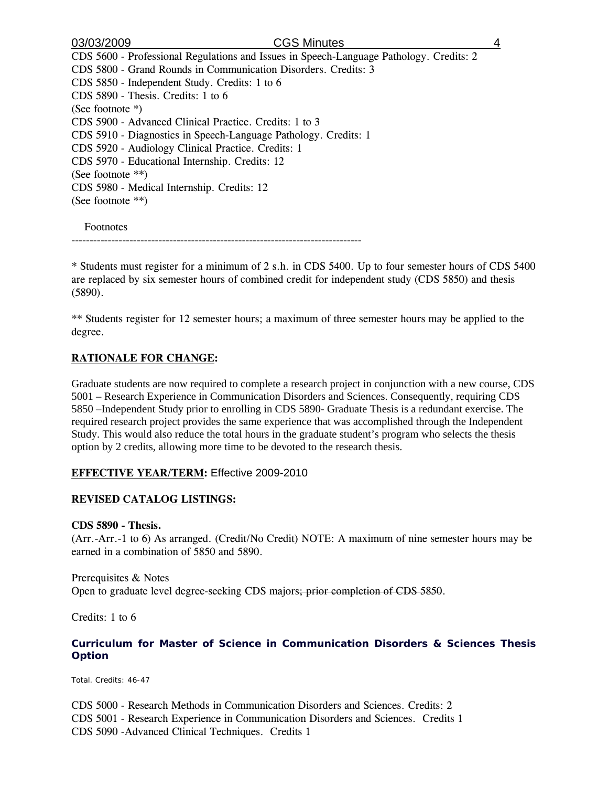| 03/03/2009<br><b>CGS Minutes</b>                                                        | 4 |
|-----------------------------------------------------------------------------------------|---|
| CDS 5600 - Professional Regulations and Issues in Speech-Language Pathology. Credits: 2 |   |
| CDS 5800 - Grand Rounds in Communication Disorders. Credits: 3                          |   |
| CDS 5850 - Independent Study. Credits: 1 to 6                                           |   |
| $CDS 5890$ - Thesis. Credits: 1 to 6                                                    |   |
| (See footnote $*)$                                                                      |   |
| CDS 5900 - Advanced Clinical Practice. Credits: 1 to 3                                  |   |
| CDS 5910 - Diagnostics in Speech-Language Pathology. Credits: 1                         |   |
| CDS 5920 - Audiology Clinical Practice. Credits: 1                                      |   |
| CDS 5970 - Educational Internship. Credits: 12                                          |   |
| (See footnote $**$ )                                                                    |   |
| CDS 5980 - Medical Internship. Credits: 12                                              |   |
| (See footnote $**$ )                                                                    |   |
| Footnotes                                                                               |   |

--------------------------------------------------------------------------------

\* Students must register for a minimum of 2 s.h. in CDS 5400. Up to four semester hours of CDS 5400 are replaced by six semester hours of combined credit for independent study (CDS 5850) and thesis (5890).

\*\* Students register for 12 semester hours; a maximum of three semester hours may be applied to the degree.

# **RATIONALE FOR CHANGE:**

Graduate students are now required to complete a research project in conjunction with a new course, CDS 5001 – Research Experience in Communication Disorders and Sciences. Consequently, requiring CDS 5850 –Independent Study prior to enrolling in CDS 5890- Graduate Thesis is a redundant exercise. The required research project provides the same experience that was accomplished through the Independent Study. This would also reduce the total hours in the graduate student's program who selects the thesis option by 2 credits, allowing more time to be devoted to the research thesis.

# **EFFECTIVE YEAR/TERM:** Effective 2009-2010

# **REVISED CATALOG LISTINGS:**

### **CDS 5890 - Thesis.**

(Arr.-Arr.-1 to 6) As arranged. (Credit/No Credit) NOTE: A maximum of nine semester hours may be earned in a combination of 5850 and 5890.

Prerequisites & Notes Open to graduate level degree-seeking CDS majors; prior completion of CDS 5850.

Credits: 1 to 6

# **Curriculum for Master of Science in Communication Disorders & Sciences Thesis Option**

Total. Credits: 46-47

CDS 5000 - Research Methods in Communication Disorders and Sciences. Credits: 2 CDS 5001 - Research Experience in Communication Disorders and Sciences. Credits 1 CDS 5090 -Advanced Clinical Techniques. Credits 1